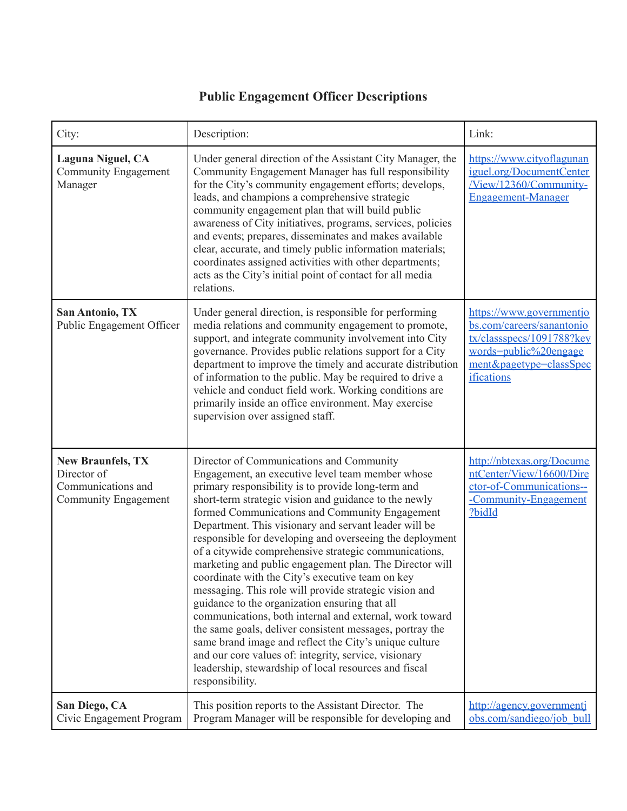## **Public Engagement Officer Descriptions**

| City:                                                                                 | Description:                                                                                                                                                                                                                                                                                                                                                                                                                                                                                                                                                                                                                                                                                                                                                                                                                                                                                                                                                                                 | Link:                                                                                                                                                |
|---------------------------------------------------------------------------------------|----------------------------------------------------------------------------------------------------------------------------------------------------------------------------------------------------------------------------------------------------------------------------------------------------------------------------------------------------------------------------------------------------------------------------------------------------------------------------------------------------------------------------------------------------------------------------------------------------------------------------------------------------------------------------------------------------------------------------------------------------------------------------------------------------------------------------------------------------------------------------------------------------------------------------------------------------------------------------------------------|------------------------------------------------------------------------------------------------------------------------------------------------------|
| <b>Laguna Niguel, CA</b><br><b>Community Engagement</b><br>Manager                    | Under general direction of the Assistant City Manager, the<br>Community Engagement Manager has full responsibility<br>for the City's community engagement efforts; develops,<br>leads, and champions a comprehensive strategic<br>community engagement plan that will build public<br>awareness of City initiatives, programs, services, policies<br>and events; prepares, disseminates and makes available<br>clear, accurate, and timely public information materials;<br>coordinates assigned activities with other departments;<br>acts as the City's initial point of contact for all media<br>relations.                                                                                                                                                                                                                                                                                                                                                                               | https://www.cityoflagunan<br>iguel.org/DocumentCenter<br>/View/12360/Community-<br><b>Engagement-Manager</b>                                         |
| San Antonio, TX<br>Public Engagement Officer                                          | Under general direction, is responsible for performing<br>media relations and community engagement to promote,<br>support, and integrate community involvement into City<br>governance. Provides public relations support for a City<br>department to improve the timely and accurate distribution<br>of information to the public. May be required to drive a<br>vehicle and conduct field work. Working conditions are<br>primarily inside an office environment. May exercise<br>supervision over assigned staff.                                                                                                                                                                                                                                                                                                                                                                                                                                                                         | https://www.governmentjo<br>bs.com/careers/sanantonio<br>tx/classspecs/1091788?key<br>words=public%20engage<br>ment&pagetype=classSpec<br>ifications |
| <b>New Braunfels, TX</b><br>Director of<br>Communications and<br>Community Engagement | Director of Communications and Community<br>Engagement, an executive level team member whose<br>primary responsibility is to provide long-term and<br>short-term strategic vision and guidance to the newly<br>formed Communications and Community Engagement<br>Department. This visionary and servant leader will be<br>responsible for developing and overseeing the deployment<br>of a citywide comprehensive strategic communications,<br>marketing and public engagement plan. The Director will<br>coordinate with the City's executive team on key<br>messaging. This role will provide strategic vision and<br>guidance to the organization ensuring that all<br>communications, both internal and external, work toward<br>the same goals, deliver consistent messages, portray the<br>same brand image and reflect the City's unique culture<br>and our core values of: integrity, service, visionary<br>leadership, stewardship of local resources and fiscal<br>responsibility. | http://nbtexas.org/Docume<br>ntCenter/View/16600/Dire<br>ctor-of-Communications--<br>-Community-Engagement<br>?bidId                                 |
| San Diego, CA<br>Civic Engagement Program                                             | This position reports to the Assistant Director. The<br>Program Manager will be responsible for developing and                                                                                                                                                                                                                                                                                                                                                                                                                                                                                                                                                                                                                                                                                                                                                                                                                                                                               | http://agency.governmenti<br>obs.com/sandiego/job bull                                                                                               |